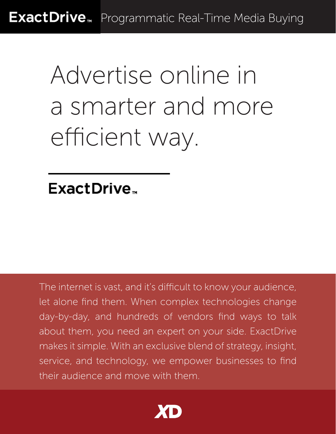ExactDrive<sub>™</sub> Programmatic Real-Time Media Buying

# Advertise online in a smarter and more efficient way.

### ExactDrive<sub>r</sub>

The internet is vast, and it's difficult to know your audience, let alone find them. When complex technologies change day-by-day, and hundreds of vendors find ways to talk about them, you need an expert on your side. ExactDrive makes it simple. With an exclusive blend of strategy, insight, service, and technology, we empower businesses to find their audience and move with them.

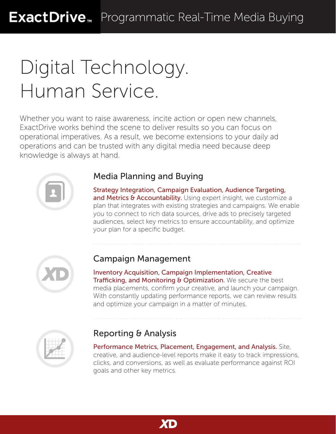# Digital Technology. Human Service.

Whether you want to raise awareness, incite action or open new channels, ExactDrive works behind the scene to deliver results so you can focus on operational imperatives. As a result, we become extensions to your daily ad operations and can be trusted with any digital media need because deep knowledge is always at hand.



#### Media Planning and Buying

Strategy Integration, Campaign Evaluation, Audience Targeting, and Metrics & Accountability. Using expert insight, we customize a plan that integrates with existing strategies and campaigns. We enable you to connect to rich data sources, drive ads to precisely targeted audiences, select key metrics to ensure accountability, and optimize your plan for a specific budget.



#### Campaign Management

Inventory Acquisition, Campaign Implementation, Creative Trafficking, and Monitoring & Optimization. We secure the best media placements, confirm your creative, and launch your campaign. With constantly updating performance reports, we can review results and optimize your campaign in a matter of minutes.



#### Reporting & Analysis

Performance Metrics, Placement, Engagement, and Analysis. Site, creative, and audience-level reports make it easy to track impressions, clicks, and conversions, as well as evaluate performance against ROI goals and other key metrics.

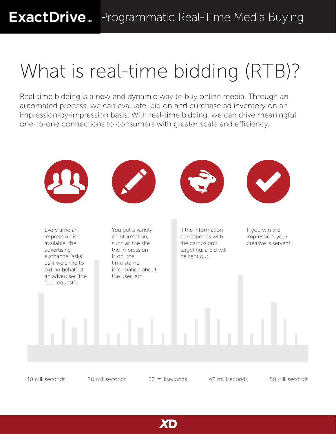# What is real-time bidding (RTB)?

Real-time bidding is a new and dynamic way to buy online media. Through an automated process, we can evaluate, bid on and purchase ad inventory on an impression-by-impression basis. With real-time bidding, we can drive meaningful one-to-one connections to consumers with greater scale and efficiency.



XD

10 milliseconds 20 milliseconds 30 milliseconds 40 milliseconds 50 milliseconds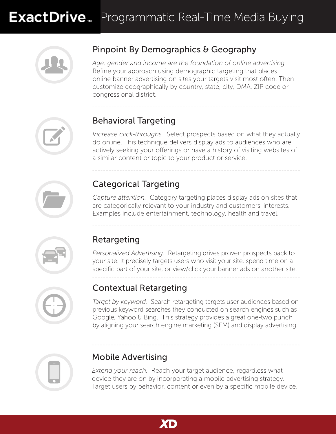

#### Pinpoint By Demographics & Geography

*Age, gender and income are the foundation of online advertising.*  Refine your approach using demographic targeting that places online banner advertising on sites your targets visit most often. Then customize geographically by country, state, city, DMA, ZIP code or congressional district.



#### Behavioral Targeting

*Increase click-throughs.* Select prospects based on what they actually do online. This technique delivers display ads to audiences who are actively seeking your offerings or have a history of visiting websites of a similar content or topic to your product or service.

#### Categorical Targeting

*Capture attention.* Category targeting places display ads on sites that are categorically relevant to your industry and customers' interests. Examples include entertainment, technology, health and travel.



#### Retargeting

*Personalized Advertising.* Retargeting drives proven prospects back to your site. It precisely targets users who visit your site, spend time on a specific part of your site, or view/click your banner ads on another site.



#### Contextual Retargeting

*Target by keyword.* Search retargeting targets user audiences based on previous keyword searches they conducted on search engines such as Google, Yahoo & Bing. This strategy provides a great one-two punch by aligning your search engine marketing (SEM) and display advertising.



#### Mobile Advertising

*Extend your reach.* Reach your target audience, regardless what device they are on by incorporating a mobile advertising strategy. Target users by behavior, content or even by a specific mobile device.

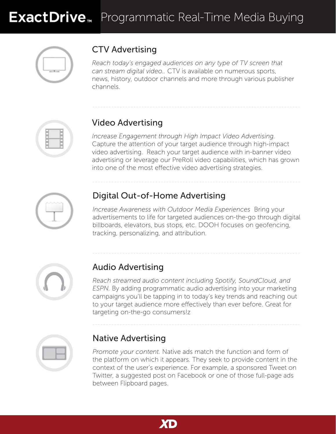

### CTV Advertising

*Reach today's engaged audiences on any type of TV screen that can stream digital video..* CTV is available on numerous sports, news, history, outdoor channels and more through various publisher channels.



#### Video Advertising

*Increase Engagement through High Impact Video Advertising.*  Capture the attention of your target audience through high-impact video advertising. Reach your target audience with in-banner video advertising or leverage our PreRoll video capabilities, which has grown into one of the most effective video advertising strategies.



#### Digital Out-of-Home Advertising

*Increase Awareness with Outdoor Media Experiences* Bring your advertisements to life for targeted audiences on-the-go through digital billboards, elevators, bus stops, etc. DOOH focuses on geofencing, tracking, personalizing, and attribution.



#### Audio Advertising

*Reach streamed audio content including Spotify, SoundCloud, and ESPN.* By adding programmatic audio advertising into your marketing campaigns you'll be tapping in to today's key trends and reaching out to your target audience more effectively than ever before. Great for targeting on-the-go consumers!z



#### Native Advertising

*Promote your content.* Native ads match the function and form of the platform on which it appears. They seek to provide content in the context of the user's experience. For example, a sponsored Tweet on Twitter, a suggested post on Facebook or one of those full-page ads between Flipboard pages.

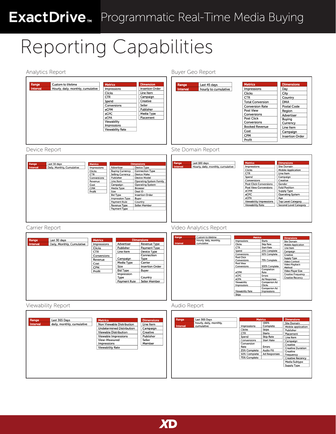## ExactDrive<sub>™</sub> Programmatic Real-Time Media Buying

# Reporting Capabilities

| Analytics Report                                                                                                                                                                                                                                                                                                                                                                                                                                                                                                                                                                                                                                                     | Buyer Geo Report                                                                                                                                                                                                                                                                                                                                                                                                                                                                                                                                                                                                                                                                                                                                                                                                      |
|----------------------------------------------------------------------------------------------------------------------------------------------------------------------------------------------------------------------------------------------------------------------------------------------------------------------------------------------------------------------------------------------------------------------------------------------------------------------------------------------------------------------------------------------------------------------------------------------------------------------------------------------------------------------|-----------------------------------------------------------------------------------------------------------------------------------------------------------------------------------------------------------------------------------------------------------------------------------------------------------------------------------------------------------------------------------------------------------------------------------------------------------------------------------------------------------------------------------------------------------------------------------------------------------------------------------------------------------------------------------------------------------------------------------------------------------------------------------------------------------------------|
| Range<br>Custom to lifetime<br><b>Dimension</b><br><b>Metrics</b><br><b>Insertion Order</b><br><b>Interval</b><br>Hourly, daily, monthly, cumulative<br>Impressions<br>Line Item<br><b>Clicks</b><br><b>CTR</b><br>Campaign<br>Creative<br>Spend<br>Seller<br>Conversions<br>Publisher<br>eCPM<br>eCPC<br>Media Type<br>Placement<br>eCPA<br>Viewability<br>Impressions<br><b>Viewability Rate</b>                                                                                                                                                                                                                                                                   | <b>Metrics</b><br><b>Dimensions</b><br>Last 45 days<br>Range<br>Impressions<br>Day<br>hourly to cumulative<br><b>Interval</b><br>Clicks<br>City<br><b>CTR</b><br>Country<br><b>Total Conversion</b><br><b>DMA</b><br><b>Conversion Rate</b><br>Postal Code<br>Post View<br>Region<br>Conversions<br>Advertiser<br>Post Click<br>Buying<br>Conversions<br>Currency<br><b>Booked Revenue</b><br>Line Item<br>Cost<br>Campaign<br><b>CPM</b><br><b>Insertion Order</b><br>Profit                                                                                                                                                                                                                                                                                                                                         |
| Device Report                                                                                                                                                                                                                                                                                                                                                                                                                                                                                                                                                                                                                                                        | Site Domain Report                                                                                                                                                                                                                                                                                                                                                                                                                                                                                                                                                                                                                                                                                                                                                                                                    |
| Range<br>Last 30 days<br>Metrics<br><b>Dimensions</b><br>Interval<br>Daily, Monthly, Cumulative<br>Advertiser<br>Device Type<br>Impressions<br><b>Buying Currency</b><br>Clicks<br><b>Connection Type</b><br><b>Selling Currency</b><br><b>Device Make</b><br><b>CTR</b><br>Conversions<br>Publisher<br><b>Device Model</b><br>Line Item<br><b>Operating System Family</b><br>Revenue<br>Cost<br>Campaign<br><b>Operating System</b><br>CPM<br>Media Type<br><b>Browser</b><br>Deal ID<br>Profit<br>Size<br><b>Insertion Order</b><br><b>Bid Type</b><br><b>Impression Type</b><br>Buyer<br>Payment Rule<br>Country<br>Revenue Type<br>Seller Member<br>Payment Type | <b>Metrics</b><br>Range<br>Last 180 days<br><b>Dimensions</b><br>Impressions<br>Site Domain<br>Interval<br>Hourly, daily, monthly, cumulative<br>Clicks<br><b>Mobile Application</b><br><b>CTR</b><br>Line Item<br>Spend<br>Campaign<br>Creative<br>Conversions<br><b>Post Click Conversions</b><br>Gender<br><b>Post View Conversions</b><br><b>Fold Position</b><br>eCPM<br><b>Supply Type</b><br>eCPC<br><b>Operating System</b><br>eCPA<br>Age<br><b>Viewability Impressions</b><br><b>Top Level Category</b><br><b>Viewability Rate</b><br><b>Second Level Category</b>                                                                                                                                                                                                                                          |
| Carrier Report                                                                                                                                                                                                                                                                                                                                                                                                                                                                                                                                                                                                                                                       | Video Analytics Report                                                                                                                                                                                                                                                                                                                                                                                                                                                                                                                                                                                                                                                                                                                                                                                                |
| Last 30 days<br><b>Dimensions</b><br>Range<br><b>Metrics</b><br>Advertiser<br>Revenue Type<br>Interval<br>Daily, Monthly, Cumulative<br>Impressions<br>Payment Type<br>Clicks<br>Publisher<br>Device Type<br>CTR<br>Line Item<br>Connection<br>Conversions<br>Campaign<br>Type<br>Revenue<br>Media Type<br>Carrier<br>Cost<br>Size<br><b>Insertion Order</b><br><b>CPM</b><br><b>Bid Type</b><br>Buyer<br>Profit<br>Impression<br>Type<br>Country<br><b>Payment Rule</b><br>Seller Member                                                                                                                                                                            | Custom to lifetime<br><b>Metrics</b><br>Range<br><b>Dimensions</b><br>Hourly, daily, monthly,<br><b>Starts</b><br>Impressions<br>Site Domain<br>Interval<br>cumulative<br>Clicks<br>Skip Rate<br><b>Mobile Application</b><br><b>CTR</b><br><b>Start Rate</b><br>Line Item<br>Spend<br>25% Complete<br>Campaign<br>Conversions<br>50% Complete<br>Creative<br>Post Click<br><b>Supply Type</b><br>75% Complete<br>Conversions<br>Video Context<br>Post View<br>Video Playback<br>100% Complete<br>Conversions<br>Method<br>Completion<br>Video Player Size<br>eCPM<br>Rate<br><b>Creative Frequency</b><br>eCPC<br>Errors<br><b>Creative Recency</b><br>eCPA<br><b>Ad Responses</b><br>Viewability<br>Companion Ad<br>Impressions<br>Clicks<br><b>Companion Ad</b><br><b>Viewability Rate</b><br>Impressions<br>Skips |
| Viewability Report                                                                                                                                                                                                                                                                                                                                                                                                                                                                                                                                                                                                                                                   | Audio Report                                                                                                                                                                                                                                                                                                                                                                                                                                                                                                                                                                                                                                                                                                                                                                                                          |
| Last 365 Days<br>Range<br><b>Metrics</b><br><b>Dimensions</b><br>daily, monthly, cumulative<br><b>Interval</b><br>Non Viewable Distribution<br>Line Item<br><b>Undetermined Distribution</b><br>Campaign<br>Viewable Distribution<br>Creative<br>Viewable Impressions<br>Publisher<br>View-Measured<br>Seller<br>Impressions<br>Member<br><b>Viewability Rate</b>                                                                                                                                                                                                                                                                                                    | <b>Metrics</b><br><b>Dimensions</b><br>Range<br>Last 365 Days<br>100%<br>hourly, daily, monthly,<br>Site Domain<br>Complete<br>Interval<br>cumulative<br>Impressions<br>Mobile application<br>Clicks<br>Skips<br>Publisher<br><b>CTR</b><br><b>Starts</b><br>Placement<br>Spend<br><b>Skip Rate</b><br>Line Item<br>Conversions<br><b>Start Rate</b><br>Campaign<br>Conversion<br>Creative<br>Rate<br>Errors<br><b>Creative Duration</b><br>25% Complete<br><b>Audio Fill</b><br>Creative<br>50% Complete<br>Ad Responses<br>Frequency<br>75% Complete<br><b>Creative Recency</b><br>Media Subtype<br><b>Supply Type</b>                                                                                                                                                                                              |